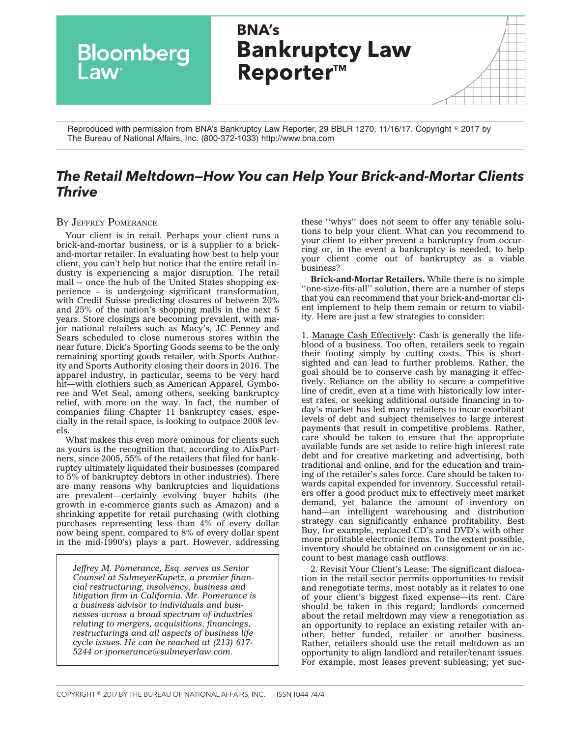**BNA's Bankruptcy Law** Bloomberg **Law Reporter™** 

Reproduced with permission from BNA's Bankruptcy Law Reporter, 29 BBLR 1270, 11/16/17. Copyright © 2017 by The Bureau of National Affairs, Inc. (800-372-1033) http://www.bna.com

## *The Retail Meltdown—How You can Help Your Brick-and-Mortar Clients Thrive*

BY JEFFREY [POMERANCE](mailto:jpomerance@sulmeyerlaw.com)

Your client is in retail. Perhaps your client runs a brick-and-mortar business, or is a supplier to a brickand-mortar retailer. In evaluating how best to help your client, you can't help but notice that the entire retail industry is experiencing a major disruption. The retail mall -- once the hub of the United States shopping experience – is undergoing significant transformation, with Credit Suisse predicting closures of between 20% and 25% of the nation's shopping malls in the next 5 years. Store closings are becoming prevalent, with major national retailers such as Macy's, JC Penney and Sears scheduled to close numerous stores within the near future. Dick's Sporting Goods seems to be the only remaining sporting goods retailer, with Sports Authority and Sports Authority closing their doors in 2016. The apparel industry, in particular, seems to be very hard hit—with clothiers such as American Apparel, Gymboree and Wet Seal, among others, seeking bankruptcy relief, with more on the way. In fact, the number of companies filing Chapter 11 bankruptcy cases, especially in the retail space, is looking to outpace 2008 levels.

What makes this even more ominous for clients such as yours is the recognition that, according to AlixPartners, since 2005, 55% of the retailers that filed for bankruptcy ultimately liquidated their businesses (compared to 5% of bankruptcy debtors in other industries). There are many reasons why bankruptcies and liquidations are prevalent—certainly evolving buyer habits (the growth in e-commerce giants such as Amazon) and a shrinking appetite for retail purchasing (with clothing purchases representing less than 4% of every dollar now being spent, compared to 8% of every dollar spent in the mid-1990's) plays a part. However, addressing

*Jeffrey M. Pomerance, Esq. serves as Senior Counsel at SulmeyerKupetz, a premier financial restructuring, insolvency, business and litigation firm in California. Mr. Pomerance is a business advisor to individuals and businesses across a broad spectrum of industries relating to mergers, acquisitions, financings, restructurings and all aspects of business life cycle issues. He can be reached at (213) 617- 5244 or jpomerance@sulmeyerlaw.com.*

these ''whys'' does not seem to offer any tenable solutions to help your client. What can you recommend to your client to either prevent a bankruptcy from occurring or, in the event a bankruptcy is needed, to help your client come out of bankruptcy as a viable business?

**Brick-and-Mortar Retailers.** While there is no simple "one-size-fits-all" solution, there are a number of steps that you can recommend that your brick-and-mortar client implement to help them remain or return to viability. Here are just a few strategies to consider:

1. Manage Cash Effectively: Cash is generally the lifeblood of a business. Too often, retailers seek to regain their footing simply by cutting costs. This is shortsighted and can lead to further problems. Rather, the goal should be to conserve cash by managing it effectively. Reliance on the ability to secure a competitive line of credit, even at a time with historically low interest rates, or seeking additional outside financing in today's market has led many retailers to incur exorbitant levels of debt and subject themselves to large interest payments that result in competitive problems. Rather, care should be taken to ensure that the appropriate available funds are set aside to retire high interest rate debt and for creative marketing and advertising, both traditional and online, and for the education and training of the retailer's sales force. Care should be taken towards capital expended for inventory. Successful retailers offer a good product mix to effectively meet market demand, yet balance the amount of inventory on hand—an intelligent warehousing and distribution strategy can significantly enhance profitability. Best Buy, for example, replaced CD's and DVD's with other more profitable electronic items. To the extent possible, inventory should be obtained on consignment or on account to best manage cash outflows.

2. Revisit Your Client's Lease: The significant dislocation in the retail sector permits opportunities to revisit and renegotiate terms, most notably as it relates to one of your client's biggest fixed expense—its rent. Care should be taken in this regard; landlords concerned about the retail meltdown may view a renegotiation as an opportunity to replace an existing retailer with another, better funded, retailer or another business. Rather, retailers should use the retail meltdown as an opportunity to align landlord and retailer/tenant issues. For example, most leases prevent subleasing; yet suc-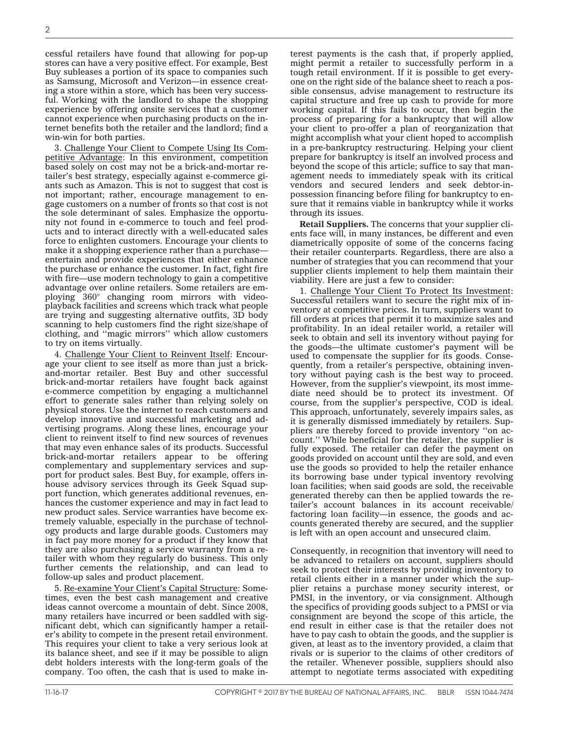cessful retailers have found that allowing for pop-up stores can have a very positive effect. For example, Best Buy subleases a portion of its space to companies such as Samsung, Microsoft and Verizon—in essence creating a store within a store, which has been very successful. Working with the landlord to shape the shopping experience by offering onsite services that a customer cannot experience when purchasing products on the internet benefits both the retailer and the landlord; find a win-win for both parties.

3. Challenge Your Client to Compete Using Its Competitive Advantage: In this environment, competition based solely on cost may not be a brick-and-mortar retailer's best strategy, especially against e-commerce giants such as Amazon. This is not to suggest that cost is not important; rather, encourage management to engage customers on a number of fronts so that cost is not the sole determinant of sales. Emphasize the opportunity not found in e-commerce to touch and feel products and to interact directly with a well-educated sales force to enlighten customers. Encourage your clients to make it a shopping experience rather than a purchase entertain and provide experiences that either enhance the purchase or enhance the customer. In fact, fight fire with fire—use modern technology to gain a competitive advantage over online retailers. Some retailers are employing 360° changing room mirrors with videoplayback facilities and screens which track what people are trying and suggesting alternative outfits, 3D body scanning to help customers find the right size/shape of clothing, and ''magic mirrors'' which allow customers to try on items virtually.

4. Challenge Your Client to Reinvent Itself: Encourage your client to see itself as more than just a brickand-mortar retailer. Best Buy and other successful brick-and-mortar retailers have fought back against e-commerce competition by engaging a multichannel effort to generate sales rather than relying solely on physical stores. Use the internet to reach customers and develop innovative and successful marketing and advertising programs. Along these lines, encourage your client to reinvent itself to find new sources of revenues that may even enhance sales of its products. Successful brick-and-mortar retailers appear to be offering complementary and supplementary services and support for product sales. Best Buy, for example, offers inhouse advisory services through its Geek Squad support function, which generates additional revenues, enhances the customer experience and may in fact lead to new product sales. Service warranties have become extremely valuable, especially in the purchase of technology products and large durable goods. Customers may in fact pay more money for a product if they know that they are also purchasing a service warranty from a retailer with whom they regularly do business. This only further cements the relationship, and can lead to follow-up sales and product placement.

5. Re-examine Your Client's Capital Structure: Sometimes, even the best cash management and creative ideas cannot overcome a mountain of debt. Since 2008, many retailers have incurred or been saddled with significant debt, which can significantly hamper a retailer's ability to compete in the present retail environment. This requires your client to take a very serious look at its balance sheet, and see if it may be possible to align debt holders interests with the long-term goals of the company. Too often, the cash that is used to make interest payments is the cash that, if properly applied, might permit a retailer to successfully perform in a tough retail environment. If it is possible to get everyone on the right side of the balance sheet to reach a possible consensus, advise management to restructure its capital structure and free up cash to provide for more working capital. If this fails to occur, then begin the process of preparing for a bankruptcy that will allow your client to pro-offer a plan of reorganization that might accomplish what your client hoped to accomplish in a pre-bankruptcy restructuring. Helping your client prepare for bankruptcy is itself an involved process and beyond the scope of this article; suffice to say that management needs to immediately speak with its critical vendors and secured lenders and seek debtor-inpossession financing before filing for bankruptcy to ensure that it remains viable in bankruptcy while it works through its issues.

**Retail Suppliers.** The concerns that your supplier clients face will, in many instances, be different and even diametrically opposite of some of the concerns facing their retailer counterparts. Regardless, there are also a number of strategies that you can recommend that your supplier clients implement to help them maintain their viability. Here are just a few to consider:

1. Challenge Your Client To Protect Its Investment: Successful retailers want to secure the right mix of inventory at competitive prices. In turn, suppliers want to fill orders at prices that permit it to maximize sales and profitability. In an ideal retailer world, a retailer will seek to obtain and sell its inventory without paying for the goods—the ultimate customer's payment will be used to compensate the supplier for its goods. Consequently, from a retailer's perspective, obtaining inventory without paying cash is the best way to proceed. However, from the supplier's viewpoint, its most immediate need should be to protect its investment. Of course, from the supplier's perspective, COD is ideal. This approach, unfortunately, severely impairs sales, as it is generally dismissed immediately by retailers. Suppliers are thereby forced to provide inventory ''on account.'' While beneficial for the retailer, the supplier is fully exposed. The retailer can defer the payment on goods provided on account until they are sold, and even use the goods so provided to help the retailer enhance its borrowing base under typical inventory revolving loan facilities; when said goods are sold, the receivable generated thereby can then be applied towards the retailer's account balances in its account receivable/ factoring loan facility—in essence, the goods and accounts generated thereby are secured, and the supplier is left with an open account and unsecured claim.

Consequently, in recognition that inventory will need to be advanced to retailers on account, suppliers should seek to protect their interests by providing inventory to retail clients either in a manner under which the supplier retains a purchase money security interest, or PMSI, in the inventory, or via consignment. Although the specifics of providing goods subject to a PMSI or via consignment are beyond the scope of this article, the end result in either case is that the retailer does not have to pay cash to obtain the goods, and the supplier is given, at least as to the inventory provided, a claim that rivals or is superior to the claims of other creditors of the retailer. Whenever possible, suppliers should also attempt to negotiate terms associated with expediting